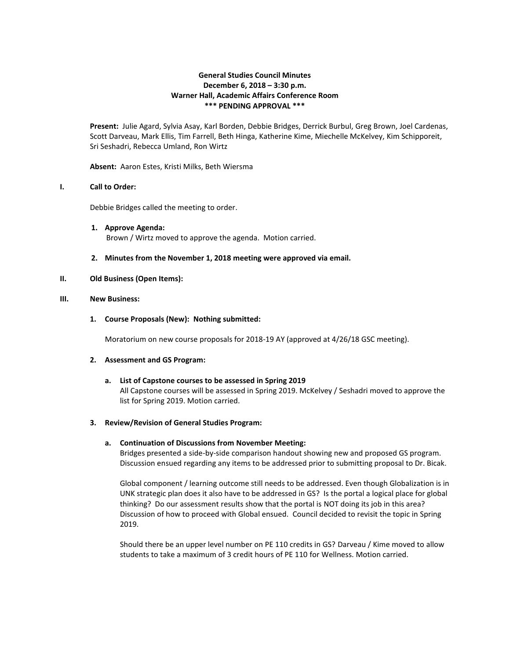# **General Studies Council Minutes December 6, 2018 – 3:30 p.m. Warner Hall, Academic Affairs Conference Room \*\*\* PENDING APPROVAL \*\*\***

**Present:** Julie Agard, Sylvia Asay, Karl Borden, Debbie Bridges, Derrick Burbul, Greg Brown, Joel Cardenas, Scott Darveau, Mark Ellis, Tim Farrell, Beth Hinga, Katherine Kime, Miechelle McKelvey, Kim Schipporeit, Sri Seshadri, Rebecca Umland, Ron Wirtz

**Absent:** Aaron Estes, Kristi Milks, Beth Wiersma

## **I. Call to Order:**

Debbie Bridges called the meeting to order.

- **1. Approve Agenda:** Brown / Wirtz moved to approve the agenda. Motion carried.
- **2. Minutes from the November 1, 2018 meeting were approved via email.**

## **II. Old Business (Open Items):**

## **III. New Business:**

## **1. Course Proposals (New): Nothing submitted:**

Moratorium on new course proposals for 2018-19 AY (approved at 4/26/18 GSC meeting).

## **2. Assessment and GS Program:**

**a. List of Capstone courses to be assessed in Spring 2019** All Capstone courses will be assessed in Spring 2019. McKelvey / Seshadri moved to approve the list for Spring 2019. Motion carried.

## **3. Review/Revision of General Studies Program:**

## **a. Continuation of Discussions from November Meeting:**

Bridges presented a side-by-side comparison handout showing new and proposed GS program. Discussion ensued regarding any items to be addressed prior to submitting proposal to Dr. Bicak.

Global component / learning outcome still needs to be addressed. Even though Globalization is in UNK strategic plan does it also have to be addressed in GS? Is the portal a logical place for global thinking? Do our assessment results show that the portal is NOT doing its job in this area? Discussion of how to proceed with Global ensued. Council decided to revisit the topic in Spring 2019.

Should there be an upper level number on PE 110 credits in GS? Darveau / Kime moved to allow students to take a maximum of 3 credit hours of PE 110 for Wellness. Motion carried.